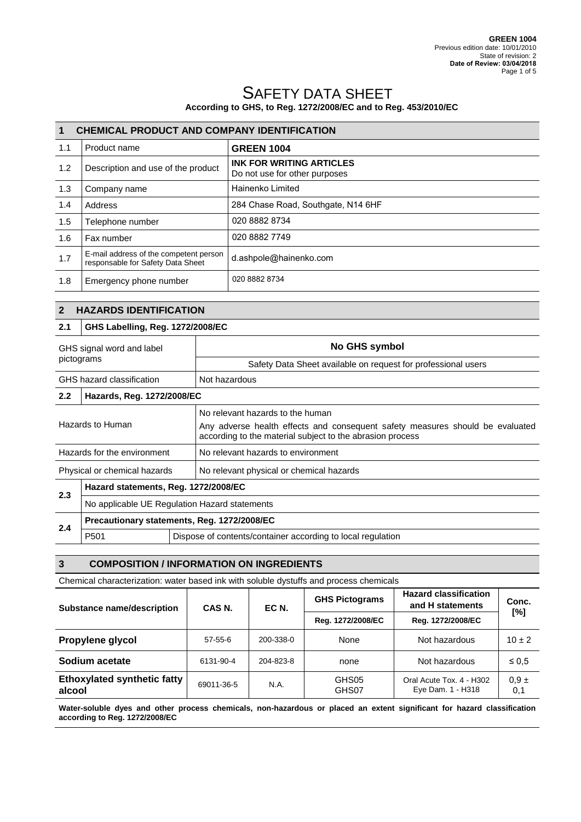# SAFETY DATA SHEET

## **According to GHS, to Reg. 1272/2008/EC and to Reg. 453/2010/EC**

| 1   | <b>CHEMICAL PRODUCT AND COMPANY IDENTIFICATION</b>                          |                                                                  |  |
|-----|-----------------------------------------------------------------------------|------------------------------------------------------------------|--|
| 1.1 | Product name                                                                | <b>GREEN 1004</b>                                                |  |
| 1.2 | Description and use of the product                                          | <b>INK FOR WRITING ARTICLES</b><br>Do not use for other purposes |  |
| 1.3 | Company name                                                                | Hainenko Limited                                                 |  |
| 1.4 | Address                                                                     | 284 Chase Road, Southgate, N14 6HF                               |  |
| 1.5 | Telephone number                                                            | 020 8882 8734                                                    |  |
| 1.6 | Fax number                                                                  | 020 8882 7749                                                    |  |
| 1.7 | E-mail address of the competent person<br>responsable for Safety Data Sheet | d.ashpole@hainenko.com                                           |  |
| 1.8 | Emergency phone number                                                      | 020 8882 8734                                                    |  |

## **2 HAZARDS IDENTIFICATION**

#### **2.1 GHS Labelling, Reg. 1272/2008/EC**

| GHS signal word and label<br>pictograms |                                               | No GHS symbol                                                                                                                                                                  |
|-----------------------------------------|-----------------------------------------------|--------------------------------------------------------------------------------------------------------------------------------------------------------------------------------|
|                                         |                                               | Safety Data Sheet available on request for professional users                                                                                                                  |
|                                         | GHS hazard classification                     | Not hazardous                                                                                                                                                                  |
| $2.2^{\circ}$                           | Hazards, Reg. 1272/2008/EC                    |                                                                                                                                                                                |
| Hazards to Human                        |                                               | No relevant hazards to the human<br>Any adverse health effects and consequent safety measures should be evaluated<br>according to the material subject to the abrasion process |
| Hazards for the environment             |                                               | No relevant hazards to environment                                                                                                                                             |
| Physical or chemical hazards            |                                               | No relevant physical or chemical hazards                                                                                                                                       |
| 2.3                                     | Hazard statements, Reg. 1272/2008/EC          |                                                                                                                                                                                |
|                                         | No applicable UE Regulation Hazard statements |                                                                                                                                                                                |
| 2.4                                     | Precautionary statements, Reg. 1272/2008/EC   |                                                                                                                                                                                |
|                                         | P <sub>501</sub>                              | Dispose of contents/container according to local regulation                                                                                                                    |

#### **3 COMPOSITION / INFORMATION ON INGREDIENTS**

Chemical characterization: water based ink with soluble dystuffs and process chemicals

| Substance name/description                   | CAS <sub>N</sub> . | EC N.     | <b>GHS Pictograms</b> | <b>Hazard classification</b><br>and H statements | Conc.            |
|----------------------------------------------|--------------------|-----------|-----------------------|--------------------------------------------------|------------------|
|                                              |                    |           | Reg. 1272/2008/EC     | Reg. 1272/2008/EC                                | [%]              |
| Propylene glycol                             | $57 - 55 - 6$      | 200-338-0 | None                  | Not hazardous                                    | $10 \pm 2$       |
| Sodium acetate                               | 6131-90-4          | 204-823-8 | none                  | Not hazardous                                    | $\leq 0.5$       |
| <b>Ethoxylated synthetic fatty</b><br>alcool | 69011-36-5         | N.A.      | GHS05<br>GHS07        | Oral Acute Tox. 4 - H302<br>Eye Dam. 1 - H318    | $0.9 \pm$<br>0,1 |

**Water-soluble dyes and other process chemicals, non-hazardous or placed an extent significant for hazard classification according to Reg. 1272/2008/EC**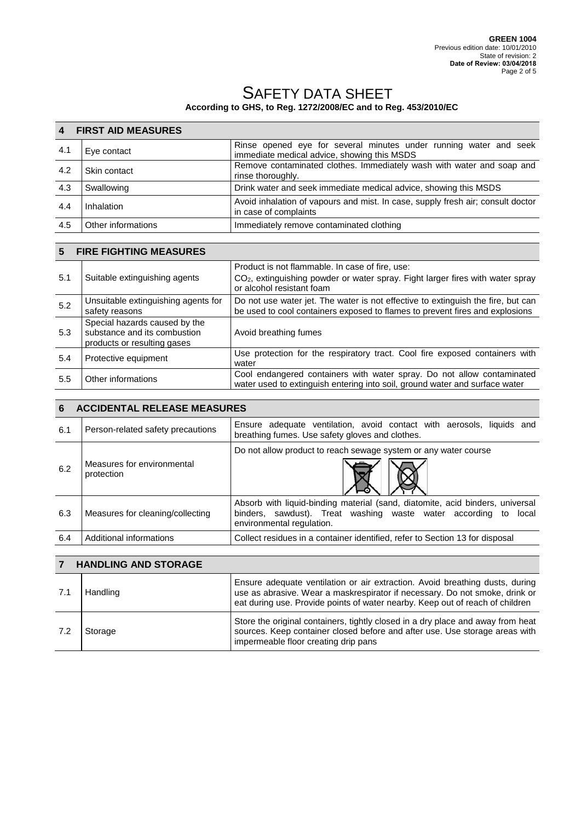|     | <b>4 FIRST AID MEASURES</b> |                                                                                                                  |  |
|-----|-----------------------------|------------------------------------------------------------------------------------------------------------------|--|
| 4.1 | Eye contact                 | Rinse opened eye for several minutes under running water and seek<br>immediate medical advice, showing this MSDS |  |
| 4.2 | Skin contact                | Remove contaminated clothes. Immediately wash with water and soap and<br>rinse thoroughly.                       |  |
| 4.3 | Swallowing                  | Drink water and seek immediate medical advice, showing this MSDS                                                 |  |
| 4.4 | Inhalation                  | Avoid inhalation of vapours and mist. In case, supply fresh air; consult doctor<br>in case of complaints         |  |
| 4.5 | Other informations          | Immediately remove contaminated clothing                                                                         |  |

| 5   | <b>FIRE FIGHTING MEASURES</b>                                                                |                                                                                                                                                                  |  |
|-----|----------------------------------------------------------------------------------------------|------------------------------------------------------------------------------------------------------------------------------------------------------------------|--|
| 5.1 | Suitable extinguishing agents                                                                | Product is not flammable. In case of fire, use:<br>$CO2$ , extinguishing powder or water spray. Fight larger fires with water spray<br>or alcohol resistant foam |  |
| 5.2 | Unsuitable extinguishing agents for<br>safety reasons                                        | Do not use water jet. The water is not effective to extinguish the fire, but can<br>be used to cool containers exposed to flames to prevent fires and explosions |  |
| 5.3 | Special hazards caused by the<br>substance and its combustion<br>products or resulting gases | Avoid breathing fumes                                                                                                                                            |  |
| 5.4 | Protective equipment                                                                         | Use protection for the respiratory tract. Cool fire exposed containers with<br>water                                                                             |  |
| 5.5 | Other informations                                                                           | Cool endangered containers with water spray. Do not allow contaminated<br>water used to extinguish entering into soil, ground water and surface water            |  |

| 6   | <b>ACCIDENTAL RELEASE MEASURES</b>       |                                                                                                                                                                               |  |
|-----|------------------------------------------|-------------------------------------------------------------------------------------------------------------------------------------------------------------------------------|--|
| 6.1 | Person-related safety precautions        | Ensure adequate ventilation, avoid contact with aerosols, liquids and<br>breathing fumes. Use safety gloves and clothes.                                                      |  |
| 6.2 | Measures for environmental<br>protection | Do not allow product to reach sewage system or any water course                                                                                                               |  |
| 6.3 | Measures for cleaning/collecting         | Absorb with liquid-binding material (sand, diatomite, acid binders, universal<br>binders, sawdust). Treat washing waste water according to local<br>environmental regulation. |  |
| 6.4 | Additional informations                  | Collect residues in a container identified, refer to Section 13 for disposal                                                                                                  |  |

|     | <b>HANDLING AND STORAGE</b> |                                                                                                                                                                                                                                              |  |
|-----|-----------------------------|----------------------------------------------------------------------------------------------------------------------------------------------------------------------------------------------------------------------------------------------|--|
| 7.1 | Handling                    | Ensure adequate ventilation or air extraction. Avoid breathing dusts, during<br>use as abrasive. Wear a maskrespirator if necessary. Do not smoke, drink or<br>eat during use. Provide points of water nearby. Keep out of reach of children |  |
| 7.2 | Storage                     | Store the original containers, tightly closed in a dry place and away from heat<br>sources. Keep container closed before and after use. Use storage areas with<br>impermeable floor creating drip pans                                       |  |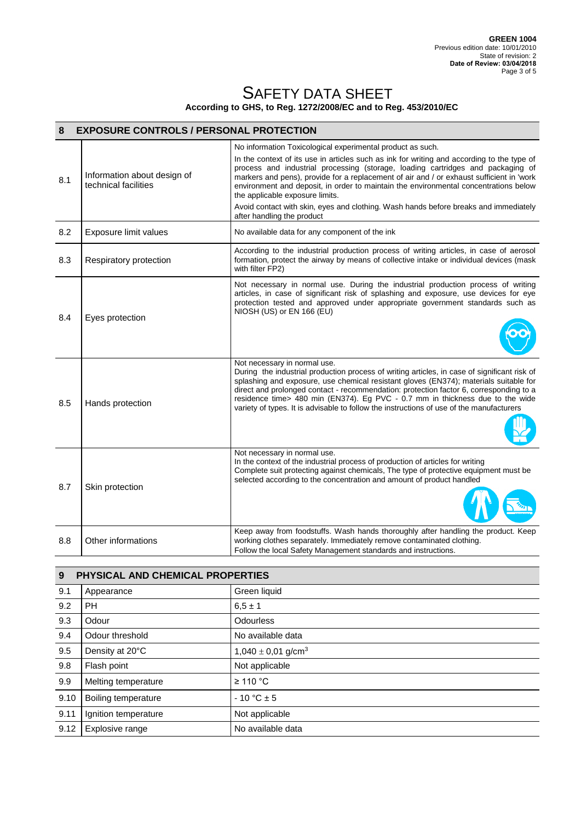| 8   | <b>EXPOSURE CONTROLS / PERSONAL PROTECTION</b>      |                                                                                                                                                                                                                                                                                                                                                                                                                                                                                                                                                                                          |  |
|-----|-----------------------------------------------------|------------------------------------------------------------------------------------------------------------------------------------------------------------------------------------------------------------------------------------------------------------------------------------------------------------------------------------------------------------------------------------------------------------------------------------------------------------------------------------------------------------------------------------------------------------------------------------------|--|
| 8.1 | Information about design of<br>technical facilities | No information Toxicological experimental product as such.<br>In the context of its use in articles such as ink for writing and according to the type of<br>process and industrial processing (storage, loading cartridges and packaging of<br>markers and pens), provide for a replacement of air and / or exhaust sufficient in 'work<br>environment and deposit, in order to maintain the environmental concentrations below<br>the applicable exposure limits.<br>Avoid contact with skin, eyes and clothing. Wash hands before breaks and immediately<br>after handling the product |  |
| 8.2 | Exposure limit values                               | No available data for any component of the ink                                                                                                                                                                                                                                                                                                                                                                                                                                                                                                                                           |  |
| 8.3 | Respiratory protection                              | According to the industrial production process of writing articles, in case of aerosol<br>formation, protect the airway by means of collective intake or individual devices (mask<br>with filter FP2)                                                                                                                                                                                                                                                                                                                                                                                    |  |
| 8.4 | Eyes protection                                     | Not necessary in normal use. During the industrial production process of writing<br>articles, in case of significant risk of splashing and exposure, use devices for eye<br>protection tested and approved under appropriate government standards such as<br>NIOSH (US) or EN 166 (EU)                                                                                                                                                                                                                                                                                                   |  |
| 8.5 | Hands protection                                    | Not necessary in normal use.<br>During the industrial production process of writing articles, in case of significant risk of<br>splashing and exposure, use chemical resistant gloves (EN374); materials suitable for<br>direct and prolonged contact - recommendation: protection factor 6, corresponding to a<br>residence time> 480 min (EN374). Eg PVC - 0.7 mm in thickness due to the wide<br>variety of types. It is advisable to follow the instructions of use of the manufacturers                                                                                             |  |
| 8.7 | Skin protection                                     | Not necessary in normal use.<br>In the context of the industrial process of production of articles for writing<br>Complete suit protecting against chemicals, The type of protective equipment must be<br>selected according to the concentration and amount of product handled                                                                                                                                                                                                                                                                                                          |  |
| 8.8 | Other informations                                  | Keep away from foodstuffs. Wash hands thoroughly after handling the product. Keep<br>working clothes separately. Immediately remove contaminated clothing.<br>Follow the local Safety Management standards and instructions.                                                                                                                                                                                                                                                                                                                                                             |  |

| 9    | PHYSICAL AND CHEMICAL PROPERTIES |                                    |  |
|------|----------------------------------|------------------------------------|--|
| 9.1  | Appearance                       | Green liquid                       |  |
| 9.2  | PH                               | $6.5 \pm 1$                        |  |
| 9.3  | Odour                            | <b>Odourless</b>                   |  |
| 9.4  | Odour threshold                  | No available data                  |  |
| 9.5  | Density at 20°C                  | $1,040 \pm 0,01$ g/cm <sup>3</sup> |  |
| 9.8  | Flash point                      | Not applicable                     |  |
| 9.9  | Melting temperature              | $\geq$ 110 °C                      |  |
| 9.10 | Boiling temperature              | $-10 °C \pm 5$                     |  |
| 9.11 | Ignition temperature             | Not applicable                     |  |
| 9.12 | Explosive range                  | No available data                  |  |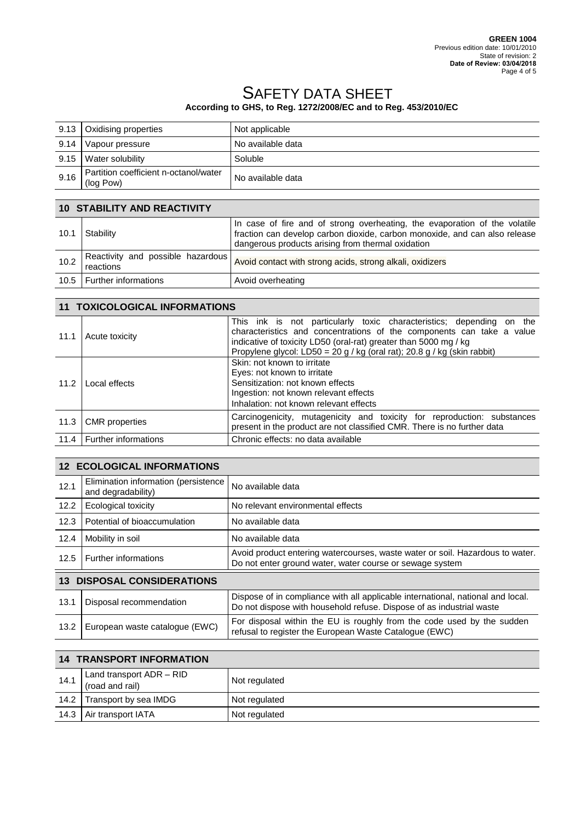|      | 9.13 Oxidising properties                          | Not applicable    |
|------|----------------------------------------------------|-------------------|
| 9.14 | Vapour pressure                                    | No available data |
| 9.15 | Water solubility                                   | Soluble           |
| 9.16 | Partition coefficient n-octanol/water<br>(log Pow) | No available data |
|      |                                                    |                   |

#### **10 STABILITY AND REACTIVITY**

| 10.1 | Stability                                      | In case of fire and of strong overheating, the evaporation of the volatile<br>fraction can develop carbon dioxide, carbon monoxide, and can also release<br>dangerous products arising from thermal oxidation |
|------|------------------------------------------------|---------------------------------------------------------------------------------------------------------------------------------------------------------------------------------------------------------------|
| 10.2 | Reactivity and possible hazardous<br>reactions | Avoid contact with strong acids, strong alkali, oxidizers                                                                                                                                                     |
|      | 10.5   Further informations                    | Avoid overheating                                                                                                                                                                                             |

## **11 TOXICOLOGICAL INFORMATIONS**

| 11.1         | Acute toxicity        | This ink is not particularly toxic characteristics; depending on the<br>characteristics and concentrations of the components can take a value<br>indicative of toxicity LD50 (oral-rat) greater than 5000 mg / kg<br>Propylene glycol: LD50 = 20 g / kg (oral rat); 20.8 g / kg (skin rabbit) |
|--------------|-----------------------|-----------------------------------------------------------------------------------------------------------------------------------------------------------------------------------------------------------------------------------------------------------------------------------------------|
| 11.2         | Local effects         | Skin: not known to irritate<br>Eyes: not known to irritate<br>Sensitization: not known effects<br>Ingestion: not known relevant effects<br>Inhalation: not known relevant effects                                                                                                             |
| 11.3         | <b>CMR</b> properties | Carcinogenicity, mutagenicity and toxicity for reproduction: substances<br>present in the product are not classified CMR. There is no further data                                                                                                                                            |
| 11.4 $\vert$ | Further informations  | Chronic effects: no data available                                                                                                                                                                                                                                                            |

## **12 ECOLOGICAL INFORMATIONS**

| 12.1                                              | Elimination information (persistence<br>and degradability) | No available data                                                                                                                                       |  |  |
|---------------------------------------------------|------------------------------------------------------------|---------------------------------------------------------------------------------------------------------------------------------------------------------|--|--|
| 12.2                                              | Ecological toxicity                                        | No relevant environmental effects                                                                                                                       |  |  |
| 12.3                                              | Potential of bioaccumulation                               | No available data                                                                                                                                       |  |  |
| 12.4                                              | Mobility in soil                                           | No available data                                                                                                                                       |  |  |
| 12.5                                              | Further informations                                       | Avoid product entering watercourses, waste water or soil. Hazardous to water.<br>Do not enter ground water, water course or sewage system               |  |  |
| <b>DISPOSAL CONSIDERATIONS</b><br>13 <sup>7</sup> |                                                            |                                                                                                                                                         |  |  |
| 13.1                                              | Disposal recommendation                                    | Dispose of in compliance with all applicable international, national and local.<br>Do not dispose with household refuse. Dispose of as industrial waste |  |  |
| 13.2                                              | European waste catalogue (EWC)                             | For disposal within the EU is roughly from the code used by the sudden<br>refusal to register the European Waste Catalogue (EWC)                        |  |  |

| <b>14 TRANSPORT INFORMATION</b> |                                             |               |  |  |
|---------------------------------|---------------------------------------------|---------------|--|--|
| 14.1                            | Land transport ADR - RID<br>(road and rail) | Not regulated |  |  |
| 14.2                            | Transport by sea IMDG                       | Not regulated |  |  |
| 14.3                            | Air transport IATA                          | Not regulated |  |  |